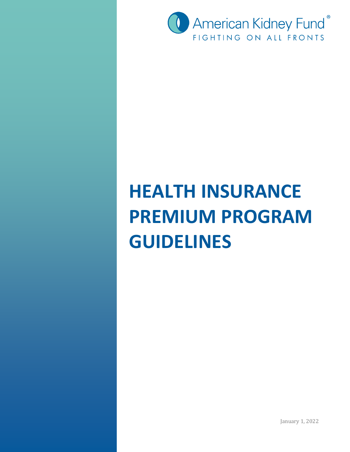

# **HEALTH INSURANCE PREMIUM PROGRAM GUIDELINES**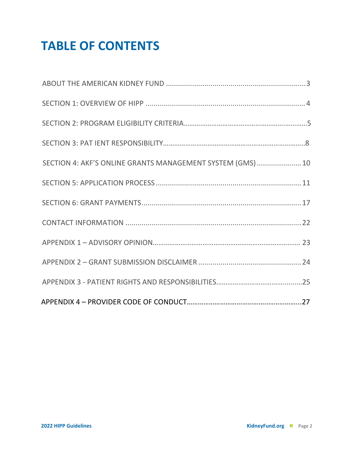### **TABLE OF CONTENTS**

| SECTION 4: AKF'S ONLINE GRANTS MANAGEMENT SYSTEM (GMS)  10 |  |
|------------------------------------------------------------|--|
|                                                            |  |
|                                                            |  |
|                                                            |  |
|                                                            |  |
|                                                            |  |
|                                                            |  |
|                                                            |  |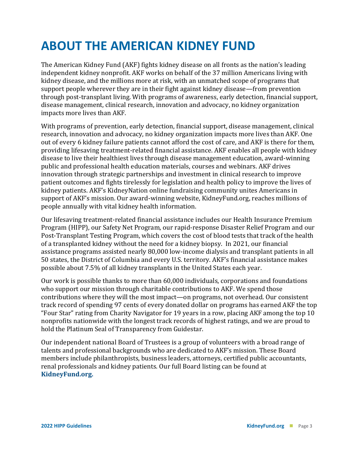### **ABOUT THE AMERICAN KIDNEY FUND**

The American Kidney Fund (AKF) fights kidney disease on all fronts as the nation's leading independent kidney nonprofit. AKF works on behalf of the 37 million Americans living with kidney disease, and the millions more at risk, with an unmatched scope of programs that support people wherever they are in their fight against kidney disease—from prevention through post-transplant living. With programs of awareness, early detection, financial support, disease management, clinical research, innovation and advocacy, no kidney organization impacts more lives than AKF.

With programs of prevention, early detection, financial support, disease management, clinical research, innovation and advocacy, no kidney organization impacts more lives than AKF. One out of every 6 kidney failure patients cannot afford the cost of care, and AKF is there for them, providing lifesaving treatment-related financial assistance. AKF enables all people with kidney disease to live their healthiest lives through disease management education, award-winning public and professional health education materials, courses and webinars. AKF drives innovation through strategic partnerships and investment in clinical research to improve patient outcomes and fights tirelessly for legislation and health policy to improve the lives of kidney patients. AKF's KidneyNation online fundraising community unites Americans in support of AKF's mission. Our award-winning website, KidneyFund.org, reaches millions of people annually with vital kidney health information.

Our lifesaving treatment-related financial assistance includes our Health Insurance Premium Program (HIPP), our Safety Net Program, our rapid-response Disaster Relief Program and our Post-Transplant Testing Program, which covers the cost of blood tests that track of the health of a transplanted kidney without the need for a kidney biopsy. In 2021, our financial assistance programs assisted nearly 80,000 low-income dialysis and transplant patients in all 50 states, the District of Columbia and every U.S. territory. AKF's financial assistance makes possible about 7.5% of all kidney transplants in the United States each year.

Our work is possible thanks to more than 60,000 individuals, corporations and foundations who support our mission through charitable contributions to AKF. We spend those contributions where they will the most impact—on programs, not overhead. Our consistent track record of spending 97 cents of every donated dollar on programs has earned AKF the top "Four Star" rating from Charity Navigator for 19 years in a row, placing AKF among the top 10 nonprofits nationwide with the longest track records of highest ratings, and we are proud to hold the Platinum Seal of Transparency from Guidestar.

Our independent national Board of Trustees is a group of volunteers with a broad range of talents and professional backgrounds who are dedicated to AKF's mission. These Board members include philanthropists, business leaders, attorneys, certified public accountants, renal professionals and kidney patients. Our full Board listing can be found at **[KidneyFund.org.](http://www.kidneyfund.org/about-us/#about_governance)**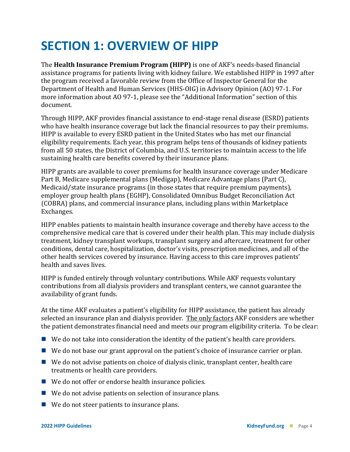### **SECTION 1: OVERVIEW OF HIPP**

The **Health Insurance Premium Program (HIPP)** is one of AKF's needs-based financial assistance programs for patients living with kidney failure. We established HIPP in 1997 after the program received a favorable review from the Office of Inspector General for the Department of Health and Human Services (HHS-OIG) in Advisory Opinion (AO) 97-1. For more information about AO 97-1, please see the "Additional Information" section of this document.

Through HIPP, AKF provides financial assistance to end-stage renal disease (ESRD) patients who have health insurance coverage but lack the financial resources to pay their premiums. HIPP is available to every ESRD patient in the United States who has met our financial eligibility requirements. Each year, this program helps tens of thousands of kidney patients from all 50 states, the District of Columbia, and U.S. territories to maintain access to the life sustaining health care benefits covered by their insurance plans.

HIPP grants are available to cover premiums for health insurance coverage under Medicare Part B, Medicare supplemental plans (Medigap), Medicare Advantage plans (Part C), Medicaid/state insurance programs (in those states that require premium payments), employer group health plans (EGHP), Consolidated Omnibus Budget Reconciliation Act **(**COBRA) plans, and commercial insurance plans, including plans within Marketplace Exchanges.

HIPP enables patients to maintain health insurance coverage and thereby have access to the comprehensive medical care that is covered under their health plan. This may include dialysis treatment, kidney transplant workups, transplant surgery and aftercare, treatment for other conditions, dental care, hospitalization, doctor's visits, prescription medicines, and all of the other health services covered by insurance. Having access to this care improves patients' health and saves lives.

HIPP is funded entirely through voluntary contributions. While AKF requests voluntary contributions from all dialysis providers and transplant centers, we cannot guarantee the availability of grant funds.

At the time AKF evaluates a patient's eligibility for HIPP assistance, the patient has already selected an insurance plan and dialysis provider. The only factors AKF considers are whether the patient demonstrates financial need and meets our program eligibility criteria. To be clear:

- $\blacksquare$  We do not take into consideration the identity of the patient's health care providers.
- We do not base our grant approval on the patient's choice of insurance carrier or plan.
- $\blacksquare$  We do not advise patients on choice of dialysis clinic, transplant center, health care treatments or health care providers.
- We do not offer or endorse health insurance policies.
- We do not advise patients on selection of insurance plans.
- We do not steer patients to insurance plans.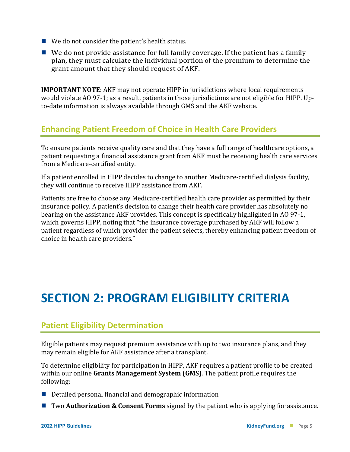- We do not consider the patient's health status.
- $\blacksquare$  We do not provide assistance for full family coverage. If the patient has a family plan, they must calculate the individual portion of the premium to determine the grant amount that they should request of AKF.

**IMPORTANT NOTE**: AKF may not operate HIPP in jurisdictions where local requirements would violate AO 97-1; as a result, patients in those jurisdictions are not eligible for HIPP. Upto-date information is always available through GMS and the AKF website.

#### **Enhancing Patient Freedom of Choice in Health Care Providers**

To ensure patients receive quality care and that they have a full range of healthcare options, a patient requesting a financial assistance grant from AKF must be receiving health care services from a Medicare-certified entity.

If a patient enrolled in HIPP decides to change to another Medicare-certified dialysis facility, they will continue to receive HIPP assistance from AKF.

Patients are free to choose any Medicare-certified health care provider as permitted by their insurance policy. A patient's decision to change their health care provider has absolutely no bearing on the assistance AKF provides. This concept is specifically highlighted in AO 97-1, which governs HIPP, noting that "the insurance coverage purchased by AKF will follow a patient regardless of which provider the patient selects, thereby enhancing patient freedom of choice in health care providers."

### **SECTION 2: PROGRAM ELIGIBILITY CRITERIA**

#### **Patient Eligibility Determination**

Eligible patients may request premium assistance with up to two insurance plans, and they may remain eligible for AKF assistance after a transplant.

To determine eligibility for participation in HIPP, AKF requires a patient profile to be created within our online **Grants Management System (GMS)**. The patient profile requires the following:

- $\blacksquare$  Detailed personal financial and demographic information
- Two **Authorization & Consent Forms** signed by the patient who is applying for assistance.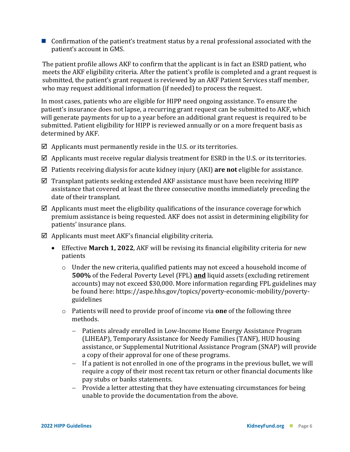■ Confirmation of the patient's treatment status by a renal professional associated with the patient's account in GMS.

The patient profile allows AKF to confirm that the applicant is in fact an ESRD patient, who meets the AKF eligibility criteria. After the patient's profile is completed and a grant request is submitted, the patient's grant request is reviewed by an AKF Patient Services staff member, who may request additional information (if needed) to process the request.

In most cases, patients who are eligible for HIPP need ongoing assistance. To ensure the patient's insurance does not lapse, a recurring grant request can be submitted to AKF, which will generate payments for up to a year before an additional grant request is required to be submitted. Patient eligibility for HIPP is reviewed annually or on a more frequent basis as determined by AKF.

- $\boxtimes$  Applicants must permanently reside in the U.S. or its territories.
- $\boxtimes$  Applicants must receive regular dialysis treatment for ESRD in the U.S. or its territories.
- Patients receiving dialysis for acute kidney injury (AKI) **are not** eligible for assistance.
- $\boxtimes$  Transplant patients seeking extended AKF assistance must have been receiving HIPP assistance that covered at least the three consecutive months immediately preceding the date of their transplant.
- $\boxtimes$  Applicants must meet the eligibility qualifications of the insurance coverage for which premium assistance is being requested. AKF does not assist in determining eligibility for patients' insurance plans.
- $\boxtimes$  Applicants must meet AKF's financial eligibility criteria.
	- Effective **March 1, 2022**, AKF will be revising its financial eligibility criteria for new patients
		- o Under the new criteria, qualified patients may not exceed a household income of **500%** of the Federal Poverty Level (FPL) **and** liquid assets (excluding retirement accounts) may not exceed \$30,000. More information regarding FPL guidelines may be found here: https://aspe.hhs.gov/topics/poverty-economic-mobility/povertyguidelines
		- o Patients will need to provide proof of income via **one** of the following three methods.
			- − Patients already enrolled in Low-Income Home Energy Assistance Program (LIHEAP), Temporary Assistance for Needy Families (TANF), HUD housing assistance, or Supplemental Nutritional Assistance Program (SNAP) will provide a copy of their approval for one of these programs.
			- − If a patient is not enrolled in one of the programs in the previous bullet, we will require a copy of their most recent tax return or other financial documents like pay stubs or banks statements.
			- − Provide a letter attesting that they have extenuating circumstances for being unable to provide the documentation from the above.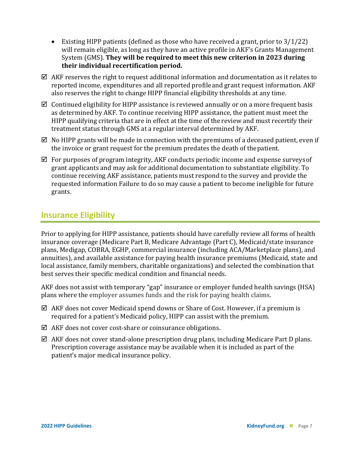- Existing HIPP patients (defined as those who have received a grant, prior to  $3/1/22$ ) will remain eligible, as long as they have an active profile in AKF's Grants Management System (GMS). **They will be required to meet this new criterion in 2023 during their individual recertification period.**
- $\boxtimes$  AKF reserves the right to request additional information and documentation as it relates to reported income, expenditures and all reported profileand grant request information. AKF also reserves the right to change HIPP financial eligibility thresholds at any time.
- $\boxtimes$  Continued eligibility for HIPP assistance is reviewed annually or on a more frequent basis as determined by AKF. To continue receiving HIPP assistance, the patient must meet the HIPP qualifying criteria that are in effect at the time of the review and must recertify their treatment status through GMS at a regular interval determined by AKF.
- $\boxtimes$  No HIPP grants will be made in connection with the premiums of a deceased patient, even if the invoice or grant request for the premium predates the death of thepatient.
- $\boxtimes$  For purposes of program integrity, AKF conducts periodic income and expense surveys of grant applicants and may ask for additional documentation to substantiate eligibility. To continue receiving AKF assistance, patients must respond to the survey and provide the requested information Failure to do so may cause a patient to become ineligible for future grants.

#### **Insurance Eligibility**

Prior to applying for HIPP assistance, patients should have carefully review all forms of health insurance coverage (Medicare Part B, Medicare Advantage (Part C), Medicaid/state insurance plans, Medigap, COBRA, EGHP, commercial insurance (including ACA/Marketplace plans), and annuities), and available assistance for paying health insurance premiums (Medicaid, state and local assistance, family members, charitable organizations) and selected the combination that best serves their specific medical condition and financial needs.

AKF does not assist with temporary "gap" insurance or employer funded health savings (HSA) plans where the employer assumes funds and the risk for paying health claims.

- $\boxtimes$  AKF does not cover Medicaid spend downs or Share of Cost. However, if a premium is required for a patient's Medicaid policy, HIPP can assist with the premium.
- $\boxtimes$  AKF does not cover cost-share or coinsurance obligations.
- $\boxtimes$  AKF does not cover stand-alone prescription drug plans, including Medicare Part D plans. Prescription coverage assistance may be available when it is included as part of the patient's major medical insurance policy.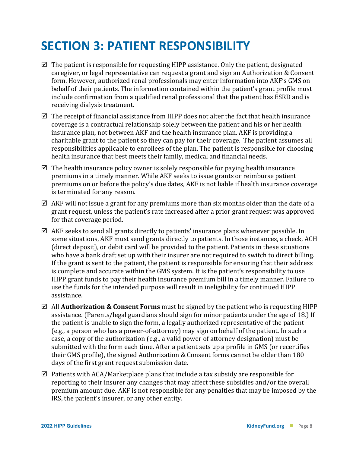### **SECTION 3: PATIENT RESPONSIBILITY**

- $\boxtimes$  The patient is responsible for requesting HIPP assistance. Only the patient, designated caregiver, or legal representative can request a grant and sign an Authorization & Consent form. However, authorized renal professionals may enter information into AKF's GMS on behalf of their patients. The information contained within the patient's grant profile must include confirmation from a qualified renal professional that the patient has ESRD and is receiving dialysis treatment.
- $\boxtimes$  The receipt of financial assistance from HIPP does not alter the fact that health insurance coverage is a contractual relationship solely between the patient and his or her health insurance plan, not between AKF and the health insurance plan. AKF is providing a charitable grant to the patient so they can pay for their coverage. The patient assumes all responsibilities applicable to enrollees of the plan. The patient is responsible for choosing health insurance that best meets their family, medical and financial needs.
- $\boxtimes$  The health insurance policy owner is solely responsible for paying health insurance premiums in a timely manner. While AKF seeks to issue grants or reimburse patient premiums on or before the policy's due dates, AKF is not liable if health insurance coverage is terminated for any reason.
- $\boxtimes$  AKF will not issue a grant for any premiums more than six months older than the date of a grant request, unless the patient's rate increased after a prior grant request was approved for that coverage period.
- $\boxtimes$  AKF seeks to send all grants directly to patients' insurance plans whenever possible. In some situations, AKF must send grants directly to patients. In those instances, a check, ACH (direct deposit), or debit card will be provided to the patient. Patients in these situations who have a bank draft set up with their insurer are not required to switch to direct billing. If the grant is sent to the patient, the patient is responsible for ensuring that their address is complete and accurate within the GMS system. It is the patient's responsibility to use HIPP grant funds to pay their health insurance premium bill in a timely manner. Failure to use the funds for the intended purpose will result in ineligibility for continued HIPP assistance.
- All **Authorization & Consent Forms** must be signed by the patient who is requesting HIPP assistance. (Parents/legal guardians should sign for minor patients under the age of 18.) If the patient is unable to sign the form, a legally authorized representative of the patient (e.g., a person who has a power-of-attorney) may sign on behalf of the patient. In such a case, a copy of the authorization (e.g., a valid power of attorney designation) must be submitted with the form each time. After a patient sets up a profile in GMS (or recertifies their GMS profile), the signed Authorization & Consent forms cannot be older than 180 days of the first grant request submission date.
- $\boxtimes$  Patients with ACA/Marketplace plans that include a tax subsidy are responsible for reporting to their insurer any changes that may affect these subsidies and/or the overall premium amount due. AKF is not responsible for any penalties that may be imposed by the IRS, the patient's insurer, or any other entity.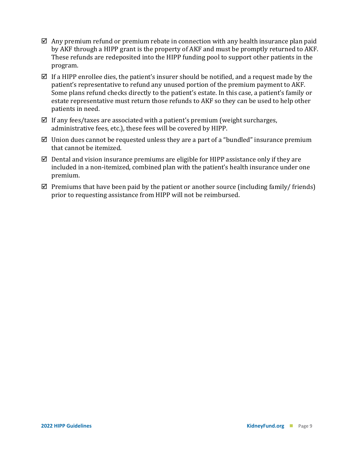- $\boxtimes$  Any premium refund or premium rebate in connection with any health insurance plan paid by AKF through a HIPP grant is the property of AKF and must be promptly returned to AKF. These refunds are redeposited into the HIPP funding pool to support other patients in the program.
- $\boxtimes$  If a HIPP enrollee dies, the patient's insurer should be notified, and a request made by the patient's representative to refund any unused portion of the premium payment to AKF. Some plans refund checks directly to the patient's estate. In this case, a patient's family or estate representative must return those refunds to AKF so they can be used to help other patients in need.
- $\boxtimes$  If any fees/taxes are associated with a patient's premium (weight surcharges, administrative fees, etc.), these fees will be covered by HIPP.
- $\boxtimes$  Union dues cannot be requested unless they are a part of a "bundled" insurance premium that cannot be itemized.
- $\boxtimes$  Dental and vision insurance premiums are eligible for HIPP assistance only if they are included in a non-itemized, combined plan with the patient's health insurance under one premium.
- $\boxtimes$  Premiums that have been paid by the patient or another source (including family/ friends) prior to requesting assistance from HIPP will not be reimbursed.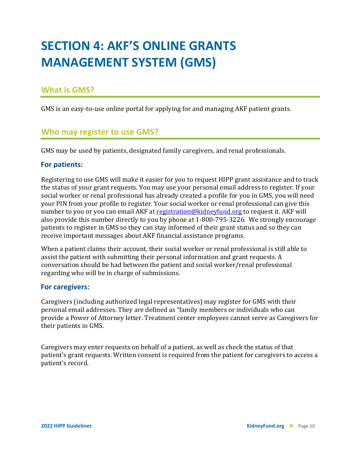## **SECTION 4: AKF'S ONLINE GRANTS MANAGEMENT SYSTEM (GMS)**

#### **What is GMS?**

GMS is an easy-to-use online portal for applying for and managing AKF patient grants.

#### **Who may register to use GMS?**

GMS may be used by patients, designated family caregivers, and renal professionals.

#### **For patients:**

Registering to use GMS will make it easier for you to request HIPP grant assistance and to track the status of your grant requests. You may use your personal email address to register. If your social worker or renal professional has already created a profile for you in GMS, you will need your PIN from your profile to register. Your social worker or renal professional can give this number to you or you can email AKF at [registration@kidneyfund.org](mailto:registration@kidneyfund.org) to request it. AKF will also provide this number directly to you by phone at 1-800-795-3226. We strongly encourage patients to register in GMS so they can stay informed of their grant status and so they can receive important messages about AKF financial assistance programs.

When a patient claims their account, their social worker or renal professional is still able to assist the patient with submitting their personal information and grant requests. A conversation should be had between the patient and social worker/renal professional regarding who will be in charge of submissions.

#### **For caregivers:**

Caregivers (including authorized legal representatives) may register for GMS with their personal email addresses. They are defined as "family members or individuals who can provide a Power of Attorney letter. Treatment center employees cannot serve as Caregivers for their patients in GMS.

Caregivers may enter requests on behalf of a patient, as well as check the status of that patient's grant requests. Written consent is required from the patient for caregivers to access a patient's record.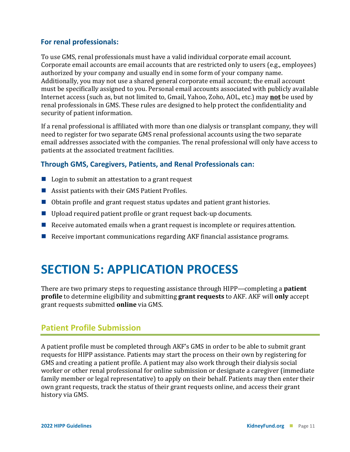#### **For renal professionals:**

To use GMS, renal professionals must have a valid individual corporate email account. Corporate email accounts are email accounts that are restricted only to users (e.g., employees) authorized by your company and usually end in some form of your company name. Additionally, you may not use a shared general corporate email account; the email account must be specifically assigned to you. Personal email accounts associated with publicly available Internet access (such as, but not limited to, Gmail, Yahoo, Zoho, AOL, etc.) may **not** be used by renal professionals in GMS. These rules are designed to help protect the confidentiality and security of patient information.

If a renal professional is affiliated with more than one dialysis or transplant company, they will need to register for two separate GMS renal professional accounts using the two separate email addresses associated with the companies. The renal professional will only have access to patients at the associated treatment facilities.

#### **Through GMS, Caregivers, Patients, and Renal Professionals can:**

- Login to submit an attestation to a grant request
- Assist patients with their GMS Patient Profiles.
- Obtain profile and grant request status updates and patient grant histories.
- Upload required patient profile or grant request back-up documents.
- Receive automated emails when a grant request is incomplete or requires attention.
- Receive important communications regarding AKF financial assistance programs.

### **SECTION 5: APPLICATION PROCESS**

There are two primary steps to requesting assistance through HIPP—completing a **patient profile** to determine eligibility and submitting **grant requests** to AKF. AKF will **only** accept grant requests submitted **online** via GMS.

#### **Patient Profile Submission**

A patient profile must be completed through AKF's GMS in order to be able to submit grant requests for HIPP assistance. Patients may start the process on their own by registering for GMS and creating a patient profile. A patient may also work through their dialysis social worker or other renal professional for online submission or designate a caregiver (immediate family member or legal representative) to apply on their behalf. Patients may then enter their own grant requests, track the status of their grant requests online, and access their grant history via GMS.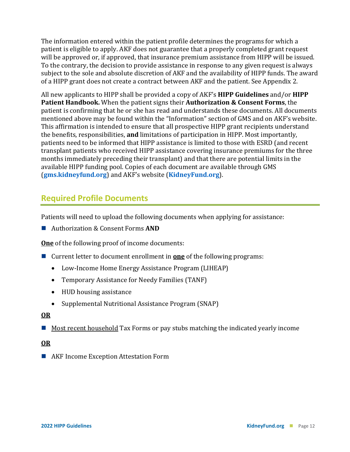The information entered within the patient profile determines the programs for which a patient is eligible to apply. AKF does not guarantee that a properly completed grant request will be approved or, if approved, that insurance premium assistance from HIPP will be issued. To the contrary, the decision to provide assistance in response to any given request is always subject to the sole and absolute discretion of AKF and the availability of HIPP funds. The award of a HIPP grant does not create a contract between AKF and the patient. See Appendix 2.

All new applicants to HIPP shall be provided a copy of AKF's **HIPP Guidelines** and/or **HIPP Patient Handbook.** When the patient signs their **Authorization & Consent Forms**, the patient is confirming that he or she has read and understands these documents. All documents mentioned above may be found within the "Information" section of GMS and on AKF's website. This affirmation is intended to ensure that all prospective HIPP grant recipients understand the benefits, responsibilities, **and** limitations of participation in HIPP. Most importantly, patients need to be informed that HIPP assistance is limited to those with ESRD (and recent transplant patients who received HIPP assistance covering insurance premiums for the three months immediately preceding their transplant) and that there are potential limits in the available HIPP funding pool. Copies of each document are available through GMS (**[gms.kidneyfund.org](https://gms.kidneyfund.org/login)**[\)](https://gms.kidneyfund.org/login) and AKF's website (**[KidneyFund.org](http://www.kidneyfund.org/)**[\).](http://www.kidneyfund.org/)

#### **Required Profile Documents**

Patients will need to upload the following documents when applying for assistance:

■ Authorization & Consent Forms **AND** 

**One** of the following proof of income documents:

- Current letter to document enrollment in **one** of the following programs:
	- Low-Income Home Energy Assistance Program (LIHEAP)
	- Temporary Assistance for Needy Families (TANF)
	- HUD housing assistance
	- Supplemental Nutritional Assistance Program (SNAP)

#### **OR**

 $\blacksquare$  Most recent household Tax Forms or pay stubs matching the indicated yearly income

#### **OR**

■ AKF Income Exception Attestation Form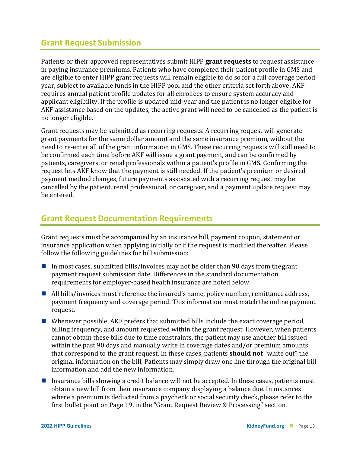#### **Grant Request Submission**

Patients or their approved representatives submit HIPP **grant requests** to request assistance in paying insurance premiums. Patients who have completed their patient profile in GMS and are eligible to enter HIPP grant requests will remain eligible to do so for a full coverage period year, subject to available funds in the HIPP pool and the other criteria set forth above. AKF requires annual patient profile updates for all enrollees to ensure system accuracy and applicant eligibility. If the profile is updated mid-year and the patient is no longer eligible for AKF assistance based on the updates, the active grant will need to be cancelled as the patient is no longer eligible.

Grant requests may be submitted as recurring requests. A recurring request will generate grant payments for the same dollar amount and the same insurance premium, without the need to re-enter all of the grant information in GMS. These recurring requests will still need to be confirmed each time before AKF will issue a grant payment, and can be confirmed by patients, caregivers, or renal professionals within a patient's profile in GMS. Confirming the request lets AKF know that the payment is still needed. If the patient's premium or desired payment method changes, future payments associated with a recurring request may be cancelled by the patient, renal professional, or caregiver, and a payment update request may be entered.

#### **Grant Request Documentation Requirements**

Grant requests must be accompanied by an insurance bill, payment coupon, statement or insurance application when applying initially or if the request is modified thereafter. Please follow the following guidelines for bill submission:

- In most cases, submitted bills/invoices may not be older than 90 days from the grant payment request submission date. Differences in the standard documentation requirements for employer-based health insurance are noted below.
- $\blacksquare$  All bills/invoices must reference the insured's name, policy number, remittance address, payment frequency and coverage period. This information must match the online payment request.
- Whenever possible, AKF prefers that submitted bills include the exact coverage period, billing frequency, and amount requested within the grant request. However, when patients cannot obtain these bills due to time constraints, the patient may use another bill issued within the past 90 days and manually write in coverage dates and/or premium amounts that correspond to the grant request. In these cases, patients **should not** "white out" the original information on the bill. Patients may simply draw one line through the original bill information and add the new information.
- Insurance bills showing a credit balance will not be accepted. In these cases, patients must obtain a new bill from their insurance company displaying a balance due. In instances where a premium is deducted from a paycheck or social security check, please refer to the first bullet point on Page 19, in the "Grant Request Review & Processing" section.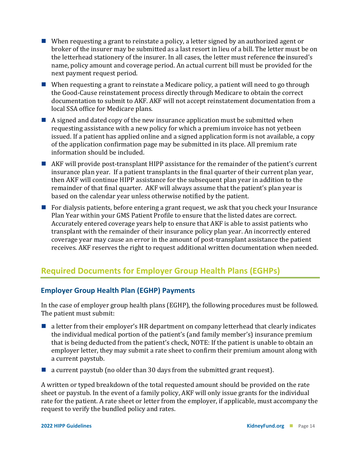- When requesting a grant to reinstate a policy, a letter signed by an authorized agent or broker of the insurer may be submitted as a last resort in lieu of a bill. The letter must be on the letterhead stationery of the insurer. In all cases, the letter must reference the insured's name, policy amount and coverage period. An actual current bill must be provided for the next payment request period.
- When requesting a grant to reinstate a Medicare policy, a patient will need to go through the Good-Cause reinstatement process directly through Medicare to obtain the correct documentation to submit to AKF. AKF will not accept reinstatement documentation from a local SSA office for Medicare plans.
- A signed and dated copy of the new insurance application must be submitted when requesting assistance with a new policy for which a premium invoice has not yetbeen issued. If a patient has applied online and a signed application form is not available, a copy of the application confirmation page may be submitted in its place. All premium rate information should be included.
- AKF will provide post-transplant HIPP assistance for the remainder of the patient's current insurance plan year. If a patient transplants in the final quarter of their current plan year, then AKF will continue HIPP assistance for the subsequent plan year in addition to the remainder of that final quarter. AKF will always assume that the patient's plan year is based on the calendar year unless otherwise notified by the patient.
- For dialysis patients, before entering a grant request, we ask that you check your Insurance Plan Year within your GMS Patient Profile to ensure that the listed dates are correct. Accurately entered coverage years help to ensure that AKF is able to assist patients who transplant with the remainder of their insurance policy plan year. An incorrectly entered coverage year may cause an error in the amount of post-transplant assistance the patient receives. AKF reserves the right to request additional written documentation when needed.

### **Required Documents for Employer Group Health Plans (EGHPs)**

#### **Employer Group Health Plan (EGHP) Payments**

In the case of employer group health plans (EGHP), the following procedures must be followed. The patient must submit:

- a letter from their employer's HR department on company letterhead that clearly indicates the individual medical portion of the patient's (and family member's) insurance premium that is being deducted from the patient's check, NOTE: If the patient is unable to obtain an employer letter, they may submit a rate sheet to confirm their premium amount along with a current paystub.
- $\blacksquare$  a current paystub (no older than 30 days from the submitted grant request).

A written or typed breakdown of the total requested amount should be provided on the rate sheet or paystub. In the event of a family policy, AKF will only issue grants for the individual rate for the patient. A rate sheet or letter from the employer, if applicable, must accompany the request to verify the bundled policy and rates.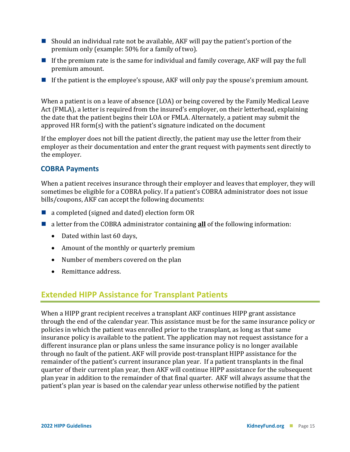- Should an individual rate not be available, AKF will pay the patient's portion of the premium only (example: 50% for a family of two).
- If the premium rate is the same for individual and family coverage, AKF will pay the full premium amount.
- If the patient is the employee's spouse, AKF will only pay the spouse's premium amount.

When a patient is on a leave of absence (LOA) or being covered by the Family Medical Leave Act (FMLA), a letter is required from the insured's employer, on their letterhead, explaining the date that the patient begins their LOA or FMLA. Alternately, a patient may submit the approved HR form(s) with the patient's signature indicated on the document

If the employer does not bill the patient directly, the patient may use the letter from their employer as their documentation and enter the grant request with payments sent directly to the employer.

#### **COBRA Payments**

When a patient receives insurance through their employer and leaves that employer, they will sometimes be eligible for a COBRA policy. If a patient's COBRA administrator does not issue bills/coupons, AKF can accept the following documents:

- a completed (signed and dated) election form OR
- a letter from the COBRA administrator containing **all** of the following information:
	- Dated within last 60 days,
	- Amount of the monthly or quarterly premium
	- Number of members covered on the plan
	- Remittance address.

#### **Extended HIPP Assistance for Transplant Patients**

When a HIPP grant recipient receives a transplant AKF continues HIPP grant assistance through the end of the calendar year. This assistance must be for the same insurance policy or policies in which the patient was enrolled prior to the transplant, as long as that same insurance policy is available to the patient. The application may not request assistance for a different insurance plan or plans unless the same insurance policy is no longer available through no fault of the patient. AKF will provide post-transplant HIPP assistance for the remainder of the patient's current insurance plan year. If a patient transplants in the final quarter of their current plan year, then AKF will continue HIPP assistance for the subsequent plan year in addition to the remainder of that final quarter. AKF will always assume that the patient's plan year is based on the calendar year unless otherwise notified by the patient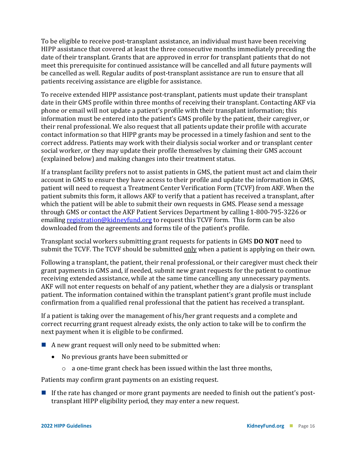To be eligible to receive post-transplant assistance, an individual must have been receiving HIPP assistance that covered at least the three consecutive months immediately preceding the date of their transplant. Grants that are approved in error for transplant patients that do not meet this prerequisite for continued assistance will be cancelled and all future payments will be cancelled as well. Regular audits of post-transplant assistance are run to ensure that all patients receiving assistance are eligible for assistance.

To receive extended HIPP assistance post-transplant, patients must update their transplant date in their GMS profile within three months of receiving their transplant. Contacting AKF via phone or email will not update a patient's profile with their transplant information; this information must be entered into the patient's GMS profile by the patient, their caregiver, or their renal professional. We also request that all patients update their profile with accurate contact information so that HIPP grants may be processed in a timely fashion and sent to the correct address. Patients may work with their dialysis social worker and or transplant center social worker, or they may update their profile themselves by claiming their GMS account (explained below) and making changes into their treatment status.

If a transplant facility prefers not to assist patients in GMS, the patient must act and claim their account in GMS to ensure they have access to their profile and update the information in GMS, patient will need to request a Treatment Center Verification Form (TCVF) from AKF. When the patient submits this form, it allows AKF to verify that a patient has received a transplant, after which the patient will be able to submit their own requests in GMS. Please send a message through GMS or contact the AKF Patient Services Department by calling 1-800-795-3226 or emailing [registration@kidneyfund.org](mailto:registration@kidneyfund.org) to request this TCVF form. This form can be also downloaded from the agreements and forms tile of the patient's profile.

Transplant social workers submitting grant requests for patients in GMS **DO NOT** need to submit the TCVF. The TCVF should be submitted only when a patient is applying on their own.

Following a transplant, the patient, their renal professional, or their caregiver must check their grant payments in GMS and, if needed, submit new grant requests for the patient to continue receiving extended assistance, while at the same time cancelling any unnecessary payments. AKF will not enter requests on behalf of any patient, whether they are a dialysis or transplant patient. The information contained within the transplant patient's grant profile must include confirmation from a qualified renal professional that the patient has received a transplant.

If a patient is taking over the management of his/her grant requests and a complete and correct recurring grant request already exists, the only action to take will be to confirm the next payment when it is eligible to be confirmed.

- A new grant request will only need to be submitted when:
	- No previous grants have been submitted or
		- o a one-time grant check has been issued within the last three months,

Patients may confirm grant payments on an existing request.

If the rate has changed or more grant payments are needed to finish out the patient's posttransplant HIPP eligibility period, they may enter a new request.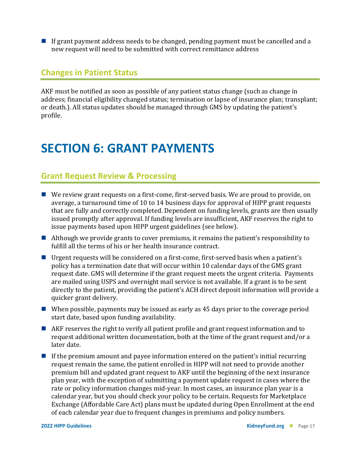If grant payment address needs to be changed, pending payment must be cancelled and a new request will need to be submitted with correct remittance address

#### **Changes in Patient Status**

AKF must be notified as soon as possible of any patient status change (such as change in address; financial eligibility changed status; termination or lapse of insurance plan; transplant; or death.). All status updates should be managed through GMS by updating the patient's profile.

### **SECTION 6: GRANT PAYMENTS**

#### **Grant Request Review & Processing**

- We review grant requests on a first-come, first-served basis. We are proud to provide, on average, a turnaround time of 10 to 14 business days for approval of HIPP grant requests that are fully and correctly completed. Dependent on funding levels, grants are then usually issued promptly after approval. If funding levels are insufficient, AKF reserves the right to issue payments based upon HIPP urgent guidelines (see below).
- Although we provide grants to cover premiums, it remains the patient's responsibility to fulfill all the terms of his or her health insurance contract.
- Urgent requests will be considered on a first-come, first-served basis when a patient's policy has a termination date that will occur within 10 calendar days of the GMS grant request date. GMS will determine if the grant request meets the urgent criteria. Payments are mailed using USPS and overnight mail service is not available. If a grant is to be sent directly to the patient, providing the patient's ACH direct deposit information will provide a quicker grant delivery.
- When possible, payments may be issued as early as 45 days prior to the coverage period start date, based upon funding availability.
- AKF reserves the right to verify all patient profile and grant request information and to request additional written documentation, both at the time of the grant request and/or a later date.
- $\blacksquare$  If the premium amount and payee information entered on the patient's initial recurring request remain the same, the patient enrolled in HIPP will not need to provide another premium bill and updated grant request to AKF until the beginning of the next insurance plan year, with the exception of submitting a payment update request in cases where the rate or policy information changes mid-year. In most cases, an insurance plan year is a calendar year, but you should check your policy to be certain. Requests for Marketplace Exchange (Affordable Care Act) plans must be updated during Open Enrollment at the end of each calendar year due to frequent changes in premiums and policy numbers.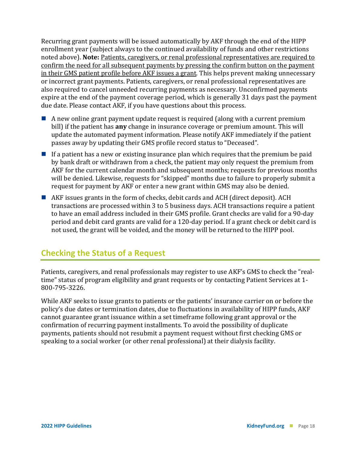Recurring grant payments will be issued automatically by AKF through the end of the HIPP enrollment year (subject always to the continued availability of funds and other restrictions noted above). **Note:** Patients, caregivers, or renal professional representatives are required to confirm the need for all subsequent payments by pressing the confirm button on the payment in their GMS patient profile before AKF issues a grant. This helps prevent making unnecessary or incorrect grant payments. Patients, caregivers, or renal professional representatives are also required to cancel unneeded recurring payments as necessary. Unconfirmed payments expire at the end of the payment coverage period, which is generally 31 days past the payment due date. Please contact AKF, if you have questions about this process.

- $\blacksquare$  A new online grant payment update request is required (along with a current premium bill) if the patient has **any** change in insurance coverage or premium amount. This will update the automated payment information. Please notify AKF immediately if the patient passes away by updating their GMS profile record status to "Deceased".
- If a patient has a new or existing insurance plan which requires that the premium be paid by bank draft or withdrawn from a check, the patient may only request the premium from AKF for the current calendar month and subsequent months; requests for previous months will be denied. Likewise, requests for "skipped" months due to failure to properly submit a request for payment by AKF or enter a new grant within GMS may also be denied.
- AKF issues grants in the form of checks, debit cards and ACH (direct deposit). ACH transactions are processed within 3 to 5 business days. ACH transactions require a patient to have an email address included in their GMS profile. Grant checks are valid for a 90-day period and debit card grants are valid for a 120-day period. If a grant check or debit card is not used, the grant will be voided, and the money will be returned to the HIPP pool.

#### **Checking the Status of a Request**

Patients, caregivers, and renal professionals may register to use AKF's GMS to check the "realtime" status of program eligibility and grant requests or by contacting Patient Services at 1- 800-795-3226.

While AKF seeks to issue grants to patients or the patients' insurance carrier on or before the policy's due dates or termination dates, due to fluctuations in availability of HIPP funds, AKF cannot guarantee grant issuance within a set timeframe following grant approval or the confirmation of recurring payment installments. To avoid the possibility of duplicate payments, patients should not resubmit a payment request without first checking GMS or speaking to a social worker (or other renal professional) at their dialysis facility.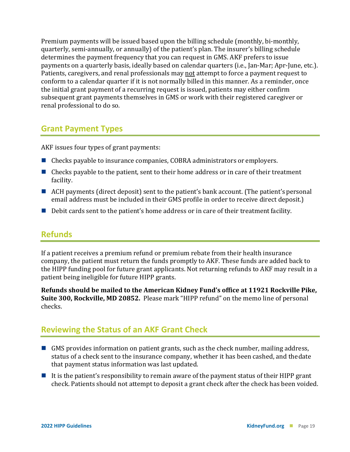Premium payments will be issued based upon the billing schedule (monthly, bi-monthly, quarterly, semi-annually, or annually) of the patient's plan. The insurer's billing schedule determines the payment frequency that you can request in GMS. AKF prefers to issue payments on a quarterly basis, ideally based on calendar quarters (i.e., Jan-Mar; Apr-June, etc.). Patients, caregivers, and renal professionals may not attempt to force a payment request to conform to a calendar quarter if it is not normally billed in this manner. As a reminder, once the initial grant payment of a recurring request is issued, patients may either confirm subsequent grant payments themselves in GMS or work with their registered caregiver or renal professional to do so.

#### **Grant Payment Types**

AKF issues four types of grant payments:

- Checks payable to insurance companies, COBRA administrators or employers.
- $\blacksquare$  Checks payable to the patient, sent to their home address or in care of their treatment facility.
- ACH payments (direct deposit) sent to the patient's bank account. (The patient's personal email address must be included in their GMS profile in order to receive direct deposit.)
- $\blacksquare$  Debit cards sent to the patient's home address or in care of their treatment facility.

#### **Refunds**

If a patient receives a premium refund or premium rebate from their health insurance company, the patient must return the funds promptly to AKF. These funds are added back to the HIPP funding pool for future grant applicants. Not returning refunds to AKF may result in a patient being ineligible for future HIPP grants.

**Refunds should be mailed to the American Kidney Fund's office at 11921 Rockville Pike, Suite 300, Rockville, MD 20852.** Please mark "HIPP refund" on the memo line of personal checks.

#### **Reviewing the Status of an AKF Grant Check**

- GMS provides information on patient grants, such as the check number, mailing address, status of a check sent to the insurance company, whether it has been cashed, and thedate that payment status information was last updated.
- It is the patient's responsibility to remain aware of the payment status of their HIPP grant check. Patients should not attempt to deposit a grant check after the check has been voided.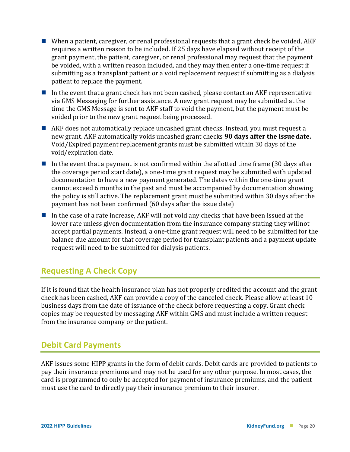- When a patient, caregiver, or renal professional requests that a grant check be voided,  $AKF$ requires a written reason to be included. If 25 days have elapsed without receipt of the grant payment, the patient, caregiver, or renal professional may request that the payment be voided, with a written reason included, and they may then enter a one-time request if submitting as a transplant patient or a void replacement request if submitting as a dialysis patient to replace the payment.
- In the event that a grant check has not been cashed, please contact an AKF representative via GMS Messaging for further assistance. A new grant request may be submitted at the time the GMS Message is sent to AKF staff to void the payment, but the payment must be voided prior to the new grant request being processed.
- AKF does not automatically replace uncashed grant checks. Instead, you must request a new grant. AKF automatically voids uncashed grant checks **90 days after the issuedate.** Void/Expired payment replacement grants must be submitted within 30 days of the void/expiration date.
- In the event that a payment is not confirmed within the allotted time frame  $(30 \text{ days after})$ the coverage period start date), a one-time grant request may be submitted with updated documentation to have a new payment generated. The dates within the one-time grant cannot exceed 6 months in the past and must be accompanied by documentation showing the policy is still active. The replacement grant must be submitted within 30 days after the payment has not been confirmed (60 days after the issue date)
- In the case of a rate increase, AKF will not void any checks that have been issued at the lower rate unless given documentation from the insurance company stating they willnot accept partial payments. Instead, a one-time grant request will need to be submitted for the balance due amount for that coverage period for transplant patients and a payment update request will need to be submitted for dialysis patients.

#### **Requesting A Check Copy**

If it is found that the health insurance plan has not properly credited the account and the grant check has been cashed, AKF can provide a copy of the canceled check. Please allow at least 10 business days from the date of issuance of the check before requesting a copy. Grant check copies may be requested by messaging AKF within GMS and must include a written request from the insurance company or the patient.

#### **Debit Card Payments**

AKF issues some HIPP grants in the form of debit cards. Debit cards are provided to patients to pay their insurance premiums and may not be used for any other purpose. In most cases, the card is programmed to only be accepted for payment of insurance premiums, and the patient must use the card to directly pay their insurance premium to their insurer.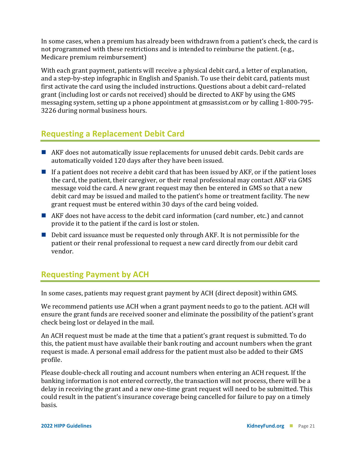In some cases, when a premium has already been withdrawn from a patient's check, the card is not programmed with these restrictions and is intended to reimburse the patient. (e.g., Medicare premium reimbursement)

With each grant payment, patients will receive a physical debit card, a letter of explanation, and a step-by-step infographic in English and Spanish. To use their debit card, patients must first activate the card using the included instructions. Questions about a debit card–related grant (including lost or cards not received) should be directed to AKF by using the GMS messaging system, setting up a phone appointment at gmsassist.com or by calling 1-800-795- 3226 during normal business hours.

### **Requesting a Replacement Debit Card**

- AKF does not automatically issue replacements for unused debit cards. Debit cards are automatically voided 120 days after they have been issued.
- $\blacksquare$  If a patient does not receive a debit card that has been issued by AKF, or if the patient loses the card, the patient, their caregiver, or their renal professional may contact AKF via GMS message void the card. A new grant request may then be entered in GMS so that a new debit card may be issued and mailed to the patient's home or treatment facility. The new grant request must be entered within 30 days of the card being voided.
- AKF does not have access to the debit card information (card number, etc.) and cannot provide it to the patient if the card is lost or stolen.
- Debit card issuance must be requested only through AKF. It is not permissible for the patient or their renal professional to request a new card directly from our debit card vendor.

### **Requesting Payment by ACH**

In some cases, patients may request grant payment by ACH (direct deposit) within GMS.

We recommend patients use ACH when a grant payment needs to go to the patient. ACH will ensure the grant funds are received sooner and eliminate the possibility of the patient's grant check being lost or delayed in the mail.

An ACH request must be made at the time that a patient's grant request is submitted. To do this, the patient must have available their bank routing and account numbers when the grant request is made. A personal email address for the patient must also be added to their GMS profile.

Please double-check all routing and account numbers when entering an ACH request. If the banking information is not entered correctly, the transaction will not process, there will be a delay in receiving the grant and a new one-time grant request will need to be submitted. This could result in the patient's insurance coverage being cancelled for failure to pay on a timely basis.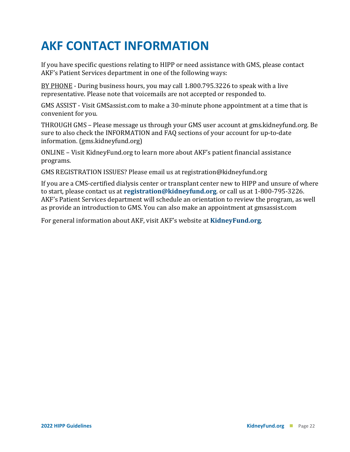## **AKF CONTACT INFORMATION**

If you have specific questions relating to HIPP or need assistance with GMS, please contact AKF's Patient Services department in one of the following ways:

BY PHONE - During business hours, you may call 1.800.795.3226 to speak with a live representative. Please note that voicemails are not accepted or responded to.

GMS ASSIST - Visit GMSassist.com to make a 30-minute phone appointment at a time that is convenient for you.

THROUGH GMS – Please message us through your GMS user account at gms.kidneyfund.org. Be sure to also check the INFORMATION and FAQ sections of your account for up-to-date information. (gms.kidneyfund.org)

ONLINE – Visit KidneyFund.org to learn more about AKF's patient financial assistance programs.

GMS REGISTRATION ISSUES? Please email us at [registration@kidneyfund.org](mailto:registration@kidneyfund.org)

If you are a CMS-certified dialysis center or transplant center new to HIPP and unsure of where to start, please contact us at **[registration@kidneyfund.org](mailto:registration@kidneyfund.org)**. or call us at 1-800-795-3226. AKF's Patient Services department will schedule an orientation to review the program, as well as provide an introduction to GMS. You can also make an appointment at gmsassist.com

For general information about AKF, visit AKF's website at **[KidneyFund.org](http://www.kidneyfund.org/)**.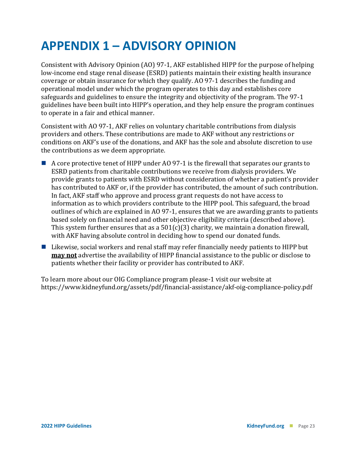### **APPENDIX 1 – ADVISORY OPINION**

Consistent with Advisory Opinion (AO) 97-1, AKF established HIPP for the purpose of helping low-income end stage renal disease (ESRD) patients maintain their existing health insurance coverage or obtain insurance for which they qualify. AO 97-1 describes the funding and operational model under which the program operates to this day and establishes core safeguards and guidelines to ensure the integrity and objectivity of the program. The 97-1 guidelines have been built into HIPP's operation, and they help ensure the program continues to operate in a fair and ethical manner.

Consistent with AO 97-1, AKF relies on voluntary charitable contributions from dialysis providers and others. These contributions are made to AKF without any restrictions or conditions on AKF's use of the donations, and AKF has the sole and absolute discretion to use the contributions as we deem appropriate.

- A core protective tenet of HIPP under AO 97-1 is the firewall that separates our grants to ESRD patients from charitable contributions we receive from dialysis providers. We provide grants to patients with ESRD without consideration of whether a patient's provider has contributed to AKF or, if the provider has contributed, the amount of such contribution. In fact, AKF staff who approve and process grant requests do not have access to information as to which providers contribute to the HIPP pool. This safeguard, the broad outlines of which are explained in AO 97-1, ensures that we are awarding grants to patients based solely on financial need and other objective eligibility criteria (described above). This system further ensures that as a  $501(c)(3)$  charity, we maintain a donation firewall, with AKF having absolute control in deciding how to spend our donated funds.
- $\blacksquare$  Likewise, social workers and renal staff may refer financially needy patients to HIPP but **may not** advertise the availability of HIPP financial assistance to the public or disclose to patients whether their facility or provider has contributed to AKF.

To learn more about our OIG Compliance program please-1 visit our website at https://www.kidneyfund.org/assets/pdf/financial-assistance/akf-oig-compliance-policy.pdf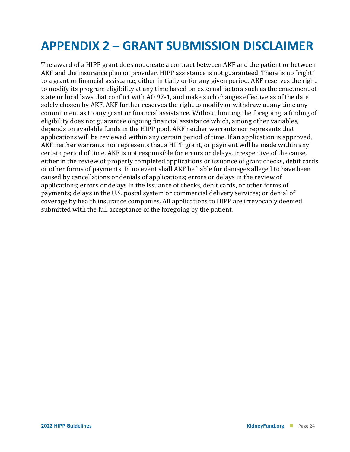### **APPENDIX 2 – GRANT SUBMISSION DISCLAIMER**

The award of a HIPP grant does not create a contract between AKF and the patient or between AKF and the insurance plan or provider. HIPP assistance is not guaranteed. There is no "right" to a grant or financial assistance, either initially or for any given period. AKF reserves the right to modify its program eligibility at any time based on external factors such as the enactment of state or local laws that conflict with AO 97-1, and make such changes effective as of the date solely chosen by AKF. AKF further reserves the right to modify or withdraw at any time any commitment as to any grant or financial assistance. Without limiting the foregoing, a finding of eligibility does not guarantee ongoing financial assistance which, among other variables, depends on available funds in the HIPP pool. AKF neither warrants nor represents that applications will be reviewed within any certain period of time. If an application is approved, AKF neither warrants nor represents that a HIPP grant, or payment will be made within any certain period of time. AKF is not responsible for errors or delays, irrespective of the cause, either in the review of properly completed applications or issuance of grant checks, debit cards or other forms of payments. In no event shall AKF be liable for damages alleged to have been caused by cancellations or denials of applications; errors or delays in the review of applications; errors or delays in the issuance of checks, debit cards, or other forms of payments; delays in the U.S. postal system or commercial delivery services; or denial of coverage by health insurance companies. All applications to HIPP are irrevocably deemed submitted with the full acceptance of the foregoing by the patient.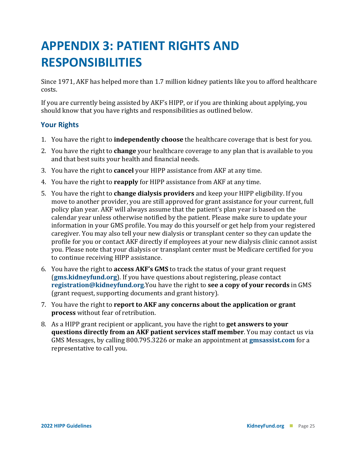## **APPENDIX 3: PATIENT RIGHTS AND RESPONSIBILITIES**

Since 1971, AKF has helped more than 1.7 million kidney patients like you to afford healthcare costs.

If you are currently being assisted by AKF's HIPP, or if you are thinking about applying, you should know that you have rights and responsibilities as outlined below.

#### **Your Rights**

- 1. You have the right to **independently choose** the healthcare coverage that is best for you.
- 2. You have the right to **change** your healthcare coverage to any plan that is available to you and that best suits your health and financial needs.
- 3. You have the right to **cancel** your HIPP assistance from AKF at any time.
- 4. You have the right to **reapply** for HIPP assistance from AKF at any time.
- 5. You have the right to **change dialysis providers** and keep your HIPP eligibility. If you move to another provider, you are still approved for grant assistance for your current, full policy plan year. AKF will always assume that the patient's plan year is based on the calendar year unless otherwise notified by the patient. Please make sure to update your information in your GMS profile. You may do this yourself or get help from your registered caregiver. You may also tell your new dialysis or transplant center so they can update the profile for you or contact AKF directly if employees at your new dialysis clinic cannot assist you. Please note that your dialysis or transplant center must be Medicare certified for you to continue receiving HIPP assistance.
- 6. You have the right to **access AKF's GMS** to track the status of your grant requ[est](mailto:registration@kidneyfund.org)  (**[gms.kidneyfund.org](https://gms.kidneyfund.org/)**). If you have questions about registering, please contact **[registration@kidneyfund.org](mailto:registration@kidneyfund.org)**.You have the right to **see a copy of your records** in GMS (grant request, supporting documents and grant history).
- 7. You have the right to **report to AKF any concerns about the application or grant process** without fear of retribution.
- 8. As a HIPP grant recipient or applicant, you have the right to **get answers to your questions directly from an AKF patient services staff member**. You may contact us via GMS Messages, by calling 800.795.3226 or make an appointment at **[gmsassist.com](http://gmsassist.com/)** for a representative to call you.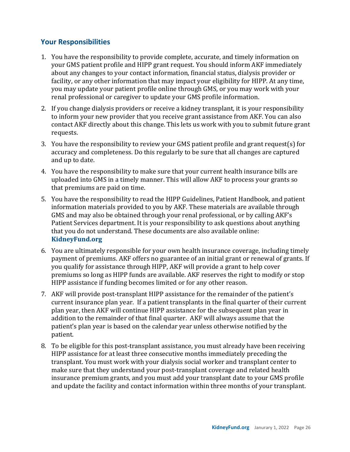#### **Your Responsibilities**

- 1. You have the responsibility to provide complete, accurate, and timely information on your GMS patient profile and HIPP grant request. You should inform AKF immediately about any changes to your contact information, financial status, dialysis provider or facility, or any other information that may impact your eligibility for HIPP. At any time, you may update your patient profile online through GMS, or you may work with your renal professional or caregiver to update your GMS profile information.
- 2. If you change dialysis providers or receive a kidney transplant, it is your responsibility to inform your new provider that you receive grant assistance from AKF. You can also contact AKF directly about this change. This lets us work with you to submit future grant requests.
- 3. You have the responsibility to review your GMS patient profile and grant request(s) for accuracy and completeness. Do this regularly to be sure that all changes are captured and up to date.
- 4. You have the responsibility to make sure that your current health insurance bills are uploaded into GMS in a timely manner. This will allow AKF to process your grants so that premiums are paid on time.
- 5. You have the responsibility to read the HIPP Guidelines, Patient Handbook, and patient information materials provided to you by AKF. These materials are available through GMS and may also be obtained through your renal professional, or by calling AKF's Patient Services department. It is your responsibility to ask questions [about anything](http://www.kidneyfund.org/financial-assistance/information-for-patients/health-insurance-premium-program/)  that you do not understand. These documents are also available online: **[KidneyFund.org](http://www.kidneyfund.org/financial-assistance/information-for-patients/health-insurance-premium-program/)**
- 6. You are ultimately responsible for your own health insurance coverage, including timely payment of premiums. AKF offers no guarantee of an initial grant or renewal of grants. If you qualify for assistance through HIPP, AKF will provide a grant to help cover premiums so long as HIPP funds are available. AKF reserves the right to modify or stop HIPP assistance if funding becomes limited or for any other reason.
- 7. AKF will provide post-transplant HIPP assistance for the remainder of the patient's current insurance plan year. If a patient transplants in the final quarter of their current plan year, then AKF will continue HIPP assistance for the subsequent plan year in addition to the remainder of that final quarter. AKF will always assume that the patient's plan year is based on the calendar year unless otherwise notified by the patient.
- 8. To be eligible for this post-transplant assistance, you must already have been receiving HIPP assistance for at least three consecutive months immediately preceding the transplant. You must work with your dialysis social worker and transplant center to make sure that they understand your post-transplant coverage and related health insurance premium grants, and you must add your transplant date to your GMS profile and update the facility and contact information within three months of your transplant.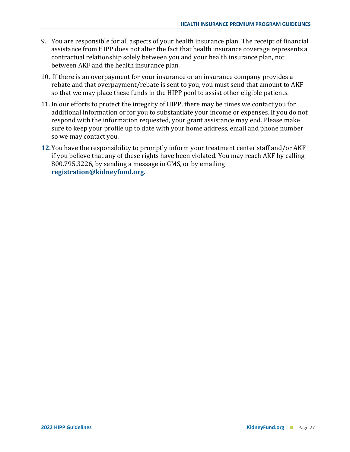- 9. You are responsible for all aspects of your health insurance plan. The receipt of financial assistance from HIPP does not alter the fact that health insurance coverage represents a contractual relationship solely between you and your health insurance plan, not between AKF and the health insurance plan.
- 10. If there is an overpayment for your insurance or an insurance company provides a rebate and that overpayment/rebate is sent to you, you must send that amount to AKF so that we may place these funds in the HIPP pool to assist other eligible patients.
- 11. In our efforts to protect the integrity of HIPP, there may be times we contact you for additional information or for you to substantiate your income or expenses. If you do not respond with the information requested, your grant assistance may end. Please make sure to keep your profile up to date with your home address, email and phone number so we may contact you.
- **12.**You have the responsibility to promptly inform your treatment center staff and/or AKF if you believe that any of these rights have been violated. You may reach AKF by calling 800.795.3226, by sending a message in GMS, or by emailing **[registration@kidneyfund.org.](mailto:registration@kidneyfund.org)**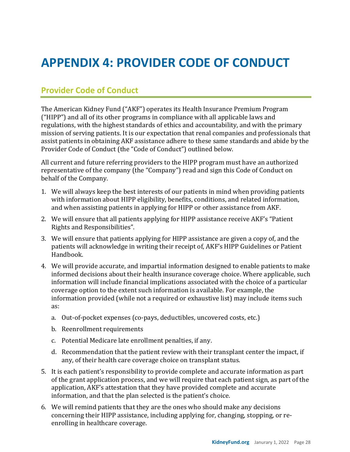### **APPENDIX 4: PROVIDER CODE OF CONDUCT**

#### **Provider Code of Conduct**

The American Kidney Fund ("AKF") operates its Health Insurance Premium Program ("HIPP") and all of its other programs in compliance with all applicable laws and regulations, with the highest standards of ethics and accountability, and with the primary mission of serving patients. It is our expectation that renal companies and professionals that assist patients in obtaining AKF assistance adhere to these same standards and abide by the Provider Code of Conduct (the "Code of Conduct") outlined below.

All current and future referring providers to the HIPP program must have an authorized representative of the company (the "Company") read and sign this Code of Conduct on behalf of the Company.

- 1. We will always keep the best interests of our patients in mind when providing patients with information about HIPP eligibility, benefits, conditions, and related information, and when assisting patients in applying for HIPP or other assistance from AKF.
- 2. We will ensure that all patients applying for HIPP assistance receive AKF's "Patient Rights and Responsibilities".
- 3. We will ensure that patients applying for HIPP assistance are given a copy of, and the patients will acknowledge in writing their receipt of, AKF's HIPP Guidelines or Patient Handbook.
- 4. We will provide accurate, and impartial information designed to enable patients to make informed decisions about their health insurance coverage choice. Where applicable, such information will include financial implications associated with the choice of a particular coverage option to the extent such information is available. For example, the information provided (while not a required or exhaustive list) may include items such as:
	- a. Out-of-pocket expenses (co-pays, deductibles, uncovered costs, etc.)
	- b. Reenrollment requirements
	- c. Potential Medicare late enrollment penalties, if any.
	- d. Recommendation that the patient review with their transplant center the impact, if any, of their health care coverage choice on transplant status.
- 5. It is each patient's responsibility to provide complete and accurate information as part of the grant application process, and we will require that each patient sign, as part of the application, AKF's attestation that they have provided complete and accurate information, and that the plan selected is the patient's choice.
- 6. We will remind patients that they are the ones who should make any decisions concerning their HIPP assistance, including applying for, changing, stopping, or reenrolling in healthcare coverage.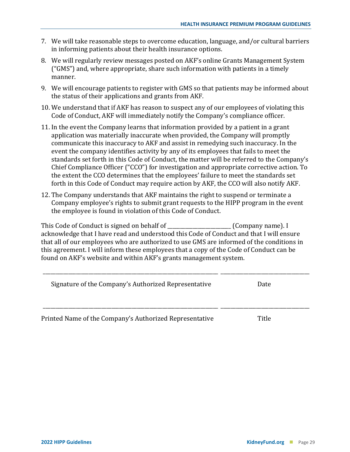- 7. We will take reasonable steps to overcome education, language, and/or cultural barriers in informing patients about their health insurance options.
- 8. We will regularly review messages posted on AKF's online Grants Management System ("GMS") and, where appropriate, share such information with patients in a timely manner.
- 9. We will encourage patients to register with GMS so that patients may be informed about the status of their applications and grants from AKF.
- 10. We understand that if AKF has reason to suspect any of our employees of violating this Code of Conduct, AKF will immediately notify the Company's compliance officer.
- 11. In the event the Company learns that information provided by a patient in a grant application was materially inaccurate when provided, the Company will promptly communicate this inaccuracy to AKF and assist in remedying such inaccuracy. In the event the company identifies activity by any of its employees that fails to meet the standards set forth in this Code of Conduct, the matter will be referred to the Company's Chief Compliance Officer ("CCO") for investigation and appropriate corrective action. To the extent the CCO determines that the employees' failure to meet the standards set forth in this Code of Conduct may require action by AKF, the CCO will also notify AKF.
- 12. The Company understands that AKF maintains the right to suspend or terminate a Company employee's rights to submit grant requests to the HIPP program in the event the employee is found in violation of this Code of Conduct.

This Code of Conduct is signed on behalf of \_\_\_\_\_\_\_\_\_\_\_\_\_\_\_\_\_\_\_\_\_\_\_\_\_ (Company name). I acknowledge that I have read and understood this Code of Conduct and that I will ensure that all of our employees who are authorized to use GMS are informed of the conditions in this agreement. I will inform these employees that a copy of the Code of Conduct can be found on AKF's website and within AKF's grants management system.

| Signature of the Company's Authorized Representative    | Date  |
|---------------------------------------------------------|-------|
|                                                         |       |
| Printed Name of the Company's Authorized Representative | Title |

\_\_\_\_\_\_\_\_\_\_\_\_\_\_\_\_\_\_\_\_\_\_\_\_\_\_\_\_\_\_\_\_\_\_\_\_\_\_\_\_\_\_\_\_\_\_\_\_\_\_\_\_\_\_\_\_\_\_\_\_\_\_\_\_\_\_\_\_\_ \_\_\_\_\_\_\_\_\_\_\_\_\_\_\_\_\_\_\_\_\_\_\_\_\_\_\_\_\_\_\_\_\_\_\_